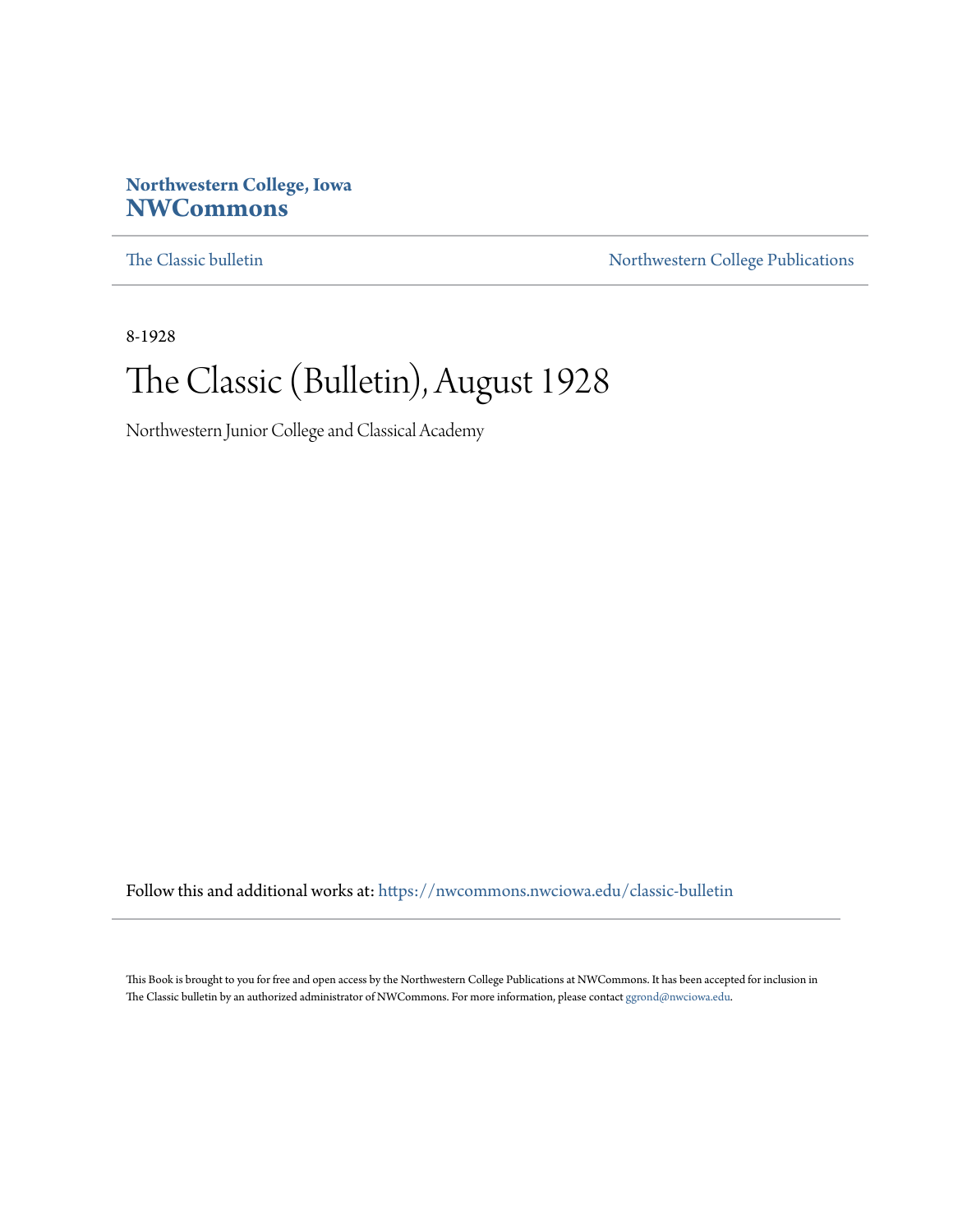# **Northwestern College, Iowa [NWCommons](https://nwcommons.nwciowa.edu?utm_source=nwcommons.nwciowa.edu%2Fclassic-bulletin%2F5&utm_medium=PDF&utm_campaign=PDFCoverPages)**

[The Classic bulletin](https://nwcommons.nwciowa.edu/classic-bulletin?utm_source=nwcommons.nwciowa.edu%2Fclassic-bulletin%2F5&utm_medium=PDF&utm_campaign=PDFCoverPages) [Northwestern College Publications](https://nwcommons.nwciowa.edu/northwesterncollegepubs?utm_source=nwcommons.nwciowa.edu%2Fclassic-bulletin%2F5&utm_medium=PDF&utm_campaign=PDFCoverPages)

8-1928

# The Classic (Bulletin), August 1928

Northwestern Junior College and Classical Academy

Follow this and additional works at: [https://nwcommons.nwciowa.edu/classic-bulletin](https://nwcommons.nwciowa.edu/classic-bulletin?utm_source=nwcommons.nwciowa.edu%2Fclassic-bulletin%2F5&utm_medium=PDF&utm_campaign=PDFCoverPages)

This Book is brought to you for free and open access by the Northwestern College Publications at NWCommons. It has been accepted for inclusion in The Classic bulletin by an authorized administrator of NWCommons. For more information, please contact  $\mathrm{ggrond@nwciowa.edu.}$  $\mathrm{ggrond@nwciowa.edu.}$  $\mathrm{ggrond@nwciowa.edu.}$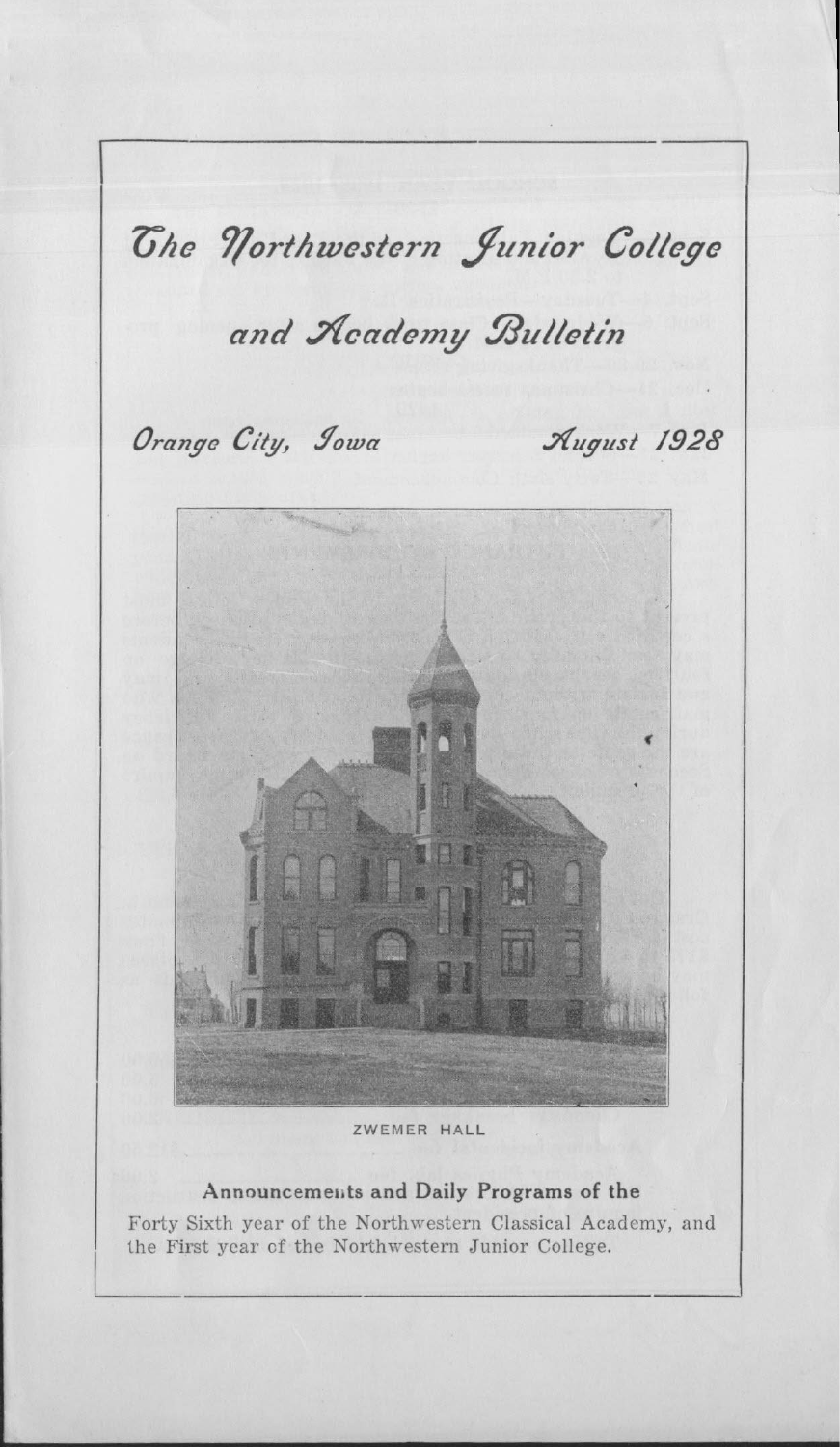

ZWEMER HALL

# Announcements and Daily Programs of the

Forty Sixth year of the Northwestern Classical Academy, and the First year of the Northwestern Junior College.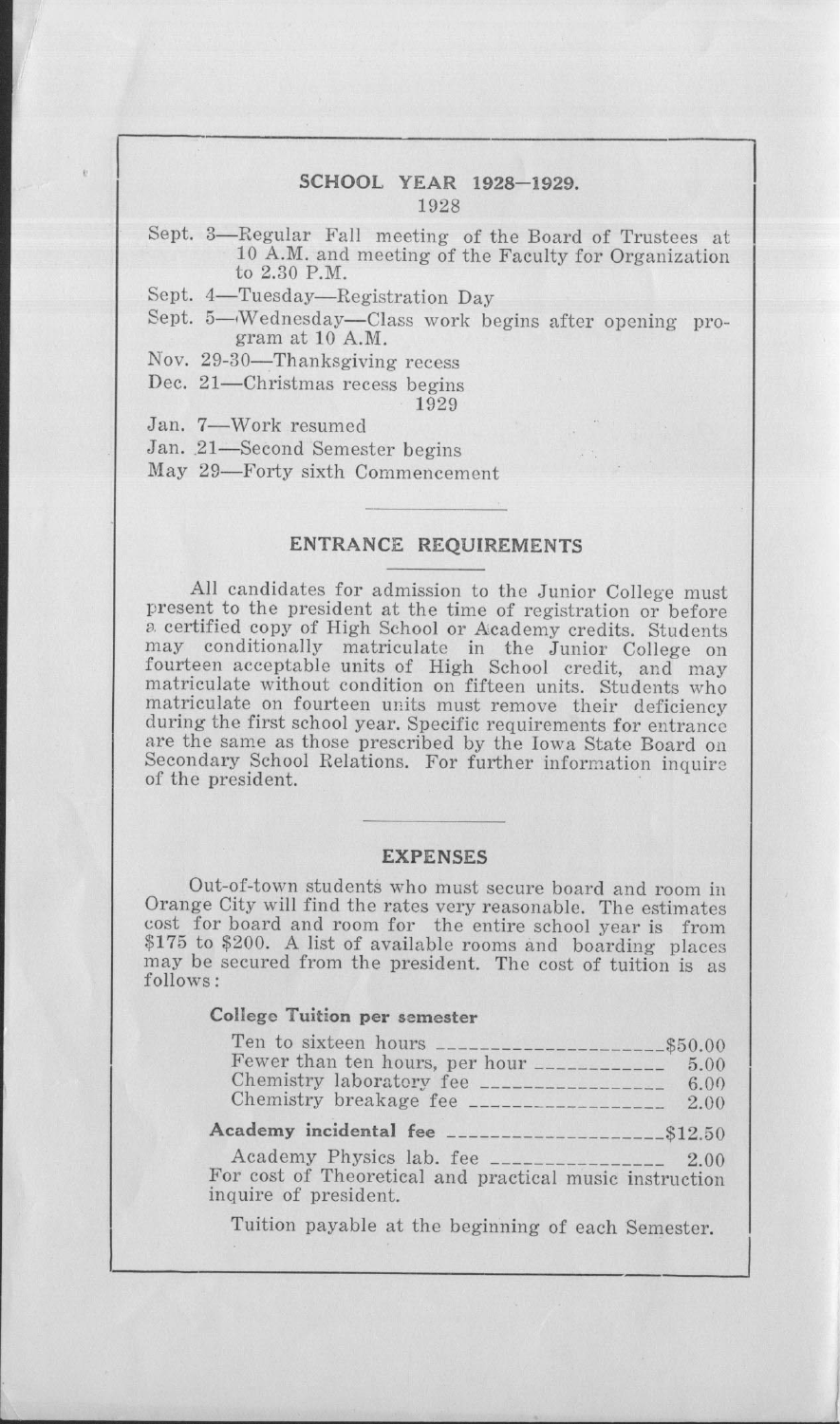## SCHOOL YEAR 1928-1929. 1928

Sept. 3-Regular Fall meeting of the Board of Trustees at 10 A.M. and meeting of the Faculty for Organization to 2.30 P.M.

Sept. 4-Tuesday-Registration Day

Sept. 5-Wednesday-Class work begins after opening program at 10 A.M.

Nov. 29-30-Thanksgiving recess

Dec. 21-Christmas recess begins 1929

Jan. 7-Work resumed

Jan. 21-Second Semester begins

May 29-Forty sixth Commencement

#### ENTRANCE REQUIREMENTS

All candidates for admission to the Junior College must present to the president at the time of registration or before a certified copy of High School or Academy credits. Students may conditionally matriculate in the Junior College on fourteen acceptable units of High School credit, and may matriculate without condition on fifteen units. Students who matriculate on fourteen units must remove their deficiency during the first school year. Specific requirements for entrance are the same as those prescribed by the Iowa State Board on Secondary School Relations. For further information inquire of the president.

#### EXPENSES

Out-of-town students who must secure board and room in Orange City will find the rates very reasonable. The estimates cost for board and room for the entire school year is from \$175 to \$200. A list of available rooms and boarding places may be secured from the president. The cost of tuition is as follows:

# **College Tuition per semester**

| Fewer than ten hours, per hour ___________<br>Chemistry laboratory fee ____________________ 6.00<br>Chemistry breakage fee _____________________ 2.00 | 5.00 |
|-------------------------------------------------------------------------------------------------------------------------------------------------------|------|
| Academy incidental fee _______________________\$12.50                                                                                                 |      |
| For cost of Theoretical and practical music instruction<br>inquire of president.                                                                      |      |
| Tuition payable at the beginning of each Semester.                                                                                                    |      |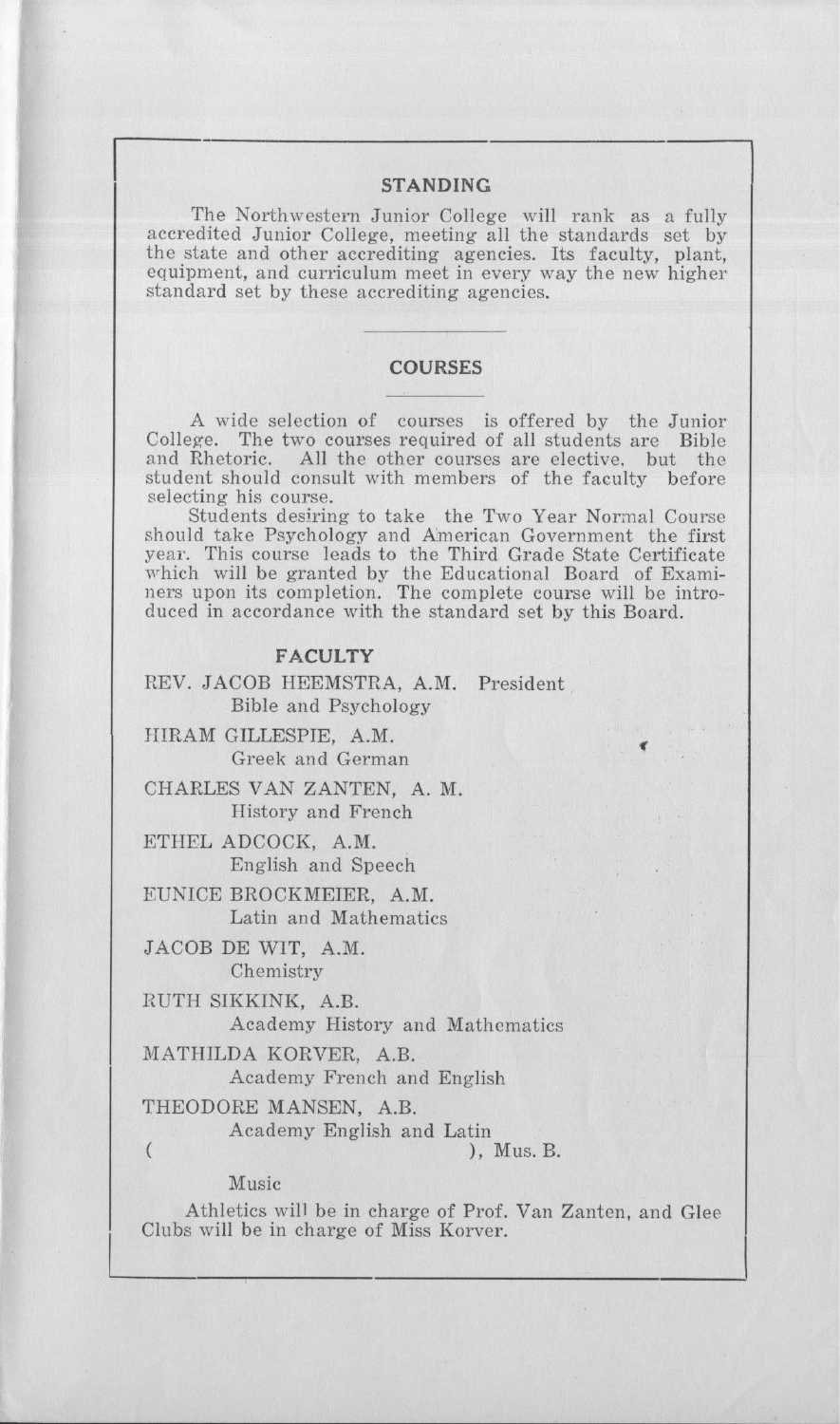#### **STANDING**

The Northwestern Junior College will rank as a fully accredited Junior College, meeting all the standards set by the state and other accrediting agencies. Its faculty, plant equipment, and curriculum meet in every way the new highe standard set by these accrediting agencies.

#### **COURSES**

A wide selection of courses is offered by the Junior College. The two courses required of all students are Bible and Rhetoric. All the other courses are elective. but the student should consult with members of the faculty before selecting his course.

Students desiring to take the Two Year Normal Course should take Psychology and A'merican Government the first year. This course leads to the Third Grade State Certificate which will be granted by the Educational Board of Examiners upon its completion. The complete course will be introduced in accordance with the standard set by this Board.

## **FACULTY**

REV. JACOB HEEMSTRA, A.M. President Bible and Psychology

HIRAM GILLESPIE, A.M. Greek and German

CHARLES VAN ZANTEN, A. M. History and French

ETHEL ADCOCK, A.M. English and Speech

EUNICE BROCKMEIER, A.M. Latin and Mathematics

JACOB DE WIT, A.M. Chemistry

RUTH SIKKINK, A.B. Academy History and Mathematics

MATHILDA KORVER, A.B.

Academy French and English

THEODORE MANSEN, A.B.

Academy English and Latin

 $(Mu, B, B)$ 

,

Acade<br>
(
Music<br>
Athletics v<br>
Clubs will be in Athletics will be in charge of Prof. Van Zanten, and Glee Clubs will be in charge of Miss Korver.